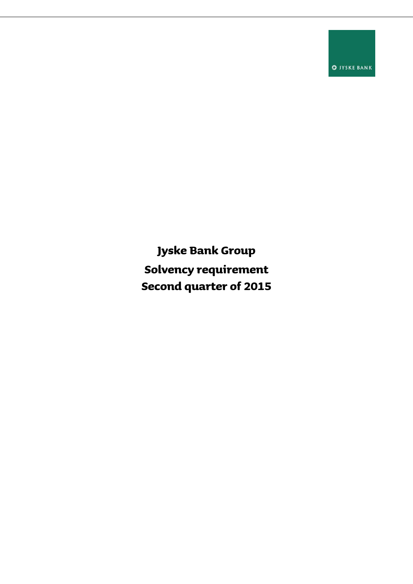**O** IYSKE BANK

**Jyske Bank Group Solvency requirement Second quarter of 2015**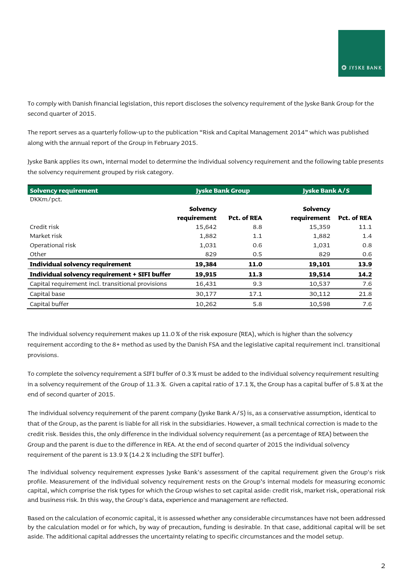To comply with Danish financial legislation, this report discloses the solvency requirement of the Jyske Bank Group for the second quarter of 2015.

The report serves as a quarterly follow-up to the publication "Risk and Capital Management 2014" which was published along with the annual report of the Group in February 2015.

Jyske Bank applies its own, internal model to determine the individual solvency requirement and the following table presents the solvency requirement grouped by risk category.

| <b>Solvency requirement</b>                       | <b>Jyske Bank Group</b> |                    | <b>Jyske Bank A/S</b> |                    |
|---------------------------------------------------|-------------------------|--------------------|-----------------------|--------------------|
| DKKm/pct.                                         |                         |                    |                       |                    |
|                                                   | Solvency                |                    | Solvency              |                    |
|                                                   | requirement             | <b>Pct. of REA</b> | requirement           | <b>Pct. of REA</b> |
| Credit risk                                       | 15,642                  | 8.8                | 15,359                | 11.1               |
| Market risk                                       | 1,882                   | 1.1                | 1,882                 | 1.4                |
| Operational risk                                  | 1,031                   | 0.6                | 1,031                 | 0.8                |
| Other                                             | 829                     | 0.5                | 829                   | 0.6                |
| Individual solvency requirement                   | 19,384                  | 11.0               | 19,101                | 13.9               |
| Individual solvency requirement + SIFI buffer     | 19,915                  | 11.3               | 19,514                | 14.2               |
| Capital requirement incl. transitional provisions | 16,431                  | 9.3                | 10,537                | 7.6                |
| Capital base                                      | 30,177                  | 17.1               | 30,112                | 21.8               |
| Capital buffer                                    | 10,262                  | 5.8                | 10,598                | 7.6                |

The individual solvency requirement makes up 11.0 % of the risk exposure (REA), which is higher than the solvency requirement according to the 8+ method as used by the Danish FSA and the legislative capital requirement incl. transitional provisions.

To complete the solvency requirement a SIFI buffer of 0.3 % must be added to the individual solvency requirement resulting in a solvency requirement of the Group of 11.3 %. Given a capital ratio of 17.1 %, the Group has a capital buffer of 5.8 % at the end of second quarter of 2015.

The individual solvency requirement of the parent company (Jyske Bank A/S) is, as a conservative assumption, identical to that of the Group, as the parent is liable for all risk in the subsidiaries. However, a small technical correction is made to the credit risk. Besides this, the only difference in the individual solvency requirement (as a percentage of REA) between the Group and the parent is due to the difference in REA. At the end of second quarter of 2015 the individual solvency requirement of the parent is 13.9 % (14.2 % including the SIFI buffer).

The individual solvency requirement expresses Jyske Bank's assessment of the capital requirement given the Group's risk profile. Measurement of the individual solvency requirement rests on the Group's internal models for measuring economic capital, which comprise the risk types for which the Group wishes to set capital aside: credit risk, market risk, operational risk and business risk. In this way, the Group's data, experience and management are reflected.

Based on the calculation of economic capital, it is assessed whether any considerable circumstances have not been addressed by the calculation model or for which, by way of precaution, funding is desirable. In that case, additional capital will be set aside. The additional capital addresses the uncertainty relating to specific circumstances and the model setup.